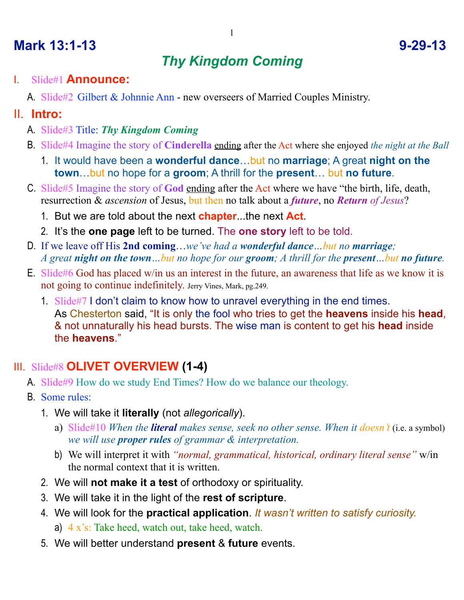# **Mark 13:1-13 9-29-13**

# *Thy Kingdom Coming*

- I. Slide#1 **Announce:**
	- A. Slide#2 Gilbert & Johnnie Ann new overseers of Married Couples Ministry.

#### II. **Intro:**

- A. Slide#3 Title: *Thy Kingdom Coming*
- B. Slide#4 Imagine the story of **Cinderella** ending after the Act where she enjoyed *the night at the Ball*
	- 1. It would have been a **wonderful dance**…but no **marriage**; A great **night on the town**…but no hope for a **groom**; A thrill for the **present**… but **no future**.
- C. Slide#5 Imagine the story of **God** ending after the Act where we have "the birth, life, death, resurrection & *ascension* of Jesus, but then no talk about a *future*, no *Return of Jesus*?
	- 1. But we are told about the next **chapter**...the next **Act**.
	- 2. It's the **one page** left to be turned. The **one story** left to be told.
- D. If we leave off His **2nd coming**…*we've had a wonderful dance…but no marriage; A great night on the town…but no hope for our groom; A thrill for the present…but no future.*
- E. Slide#6 God has placed w/in us an interest in the future, an awareness that life as we know it is not going to continue indefinitely. Jerry Vines, Mark, pg.249.
	- 1. Slide#7 I don't claim to know how to unravel everything in the end times. As Chesterton said, "It is only the fool who tries to get the **heavens** inside his **head**, & not unnaturally his head bursts. The wise man is content to get his **head** inside the **heavens**."

### III. Slide#8 **OLIVET OVERVIEW (1-4)**

- A. Slide#9 How do we study End Times? How do we balance our theology.
- B. Some rules:
	- 1. We will take it **literally** (not *allegorically*).
		- a) Slide#10 *When the literal makes sense, seek no other sense. When it doesn't* (i.e. a symbol) *we will use proper rules of grammar & interpretation.*
		- b) We will interpret it with *"normal, grammatical, historical, ordinary literal sense"* w/in the normal context that it is written.
	- 2. We will **not make it a test** of orthodoxy or spirituality.
	- 3. We will take it in the light of the **rest of scripture**.
	- 4. We will look for the **practical application**. *It wasn't written to satisfy curiosity.* a) 4 x's: Take heed, watch out, take heed, watch.
	- 5. We will better understand **present** & **future** events.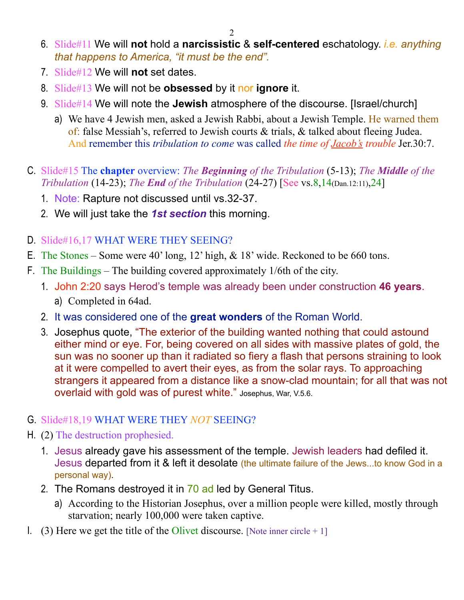- 6. Slide#11 We will **not** hold a **narcissistic** & **self-centered** eschatology. *i.e. anything that happens to America, "it must be the end".*
- 7. Slide#12 We will **not** set dates.
- 8. Slide#13 We will not be **obsessed** by it nor **ignore** it.
- 9. Slide#14 We will note the **Jewish** atmosphere of the discourse. [Israel/church]
	- a) We have 4 Jewish men, asked a Jewish Rabbi, about a Jewish Temple. He warned them of: false Messiah's, referred to Jewish courts & trials, & talked about fleeing Judea. And remember this *tribulation to come* was called *the time of Jacob's trouble* Jer.30:7.
- C. Slide#15 The **chapter** overview: *The Beginning of the Tribulation* (5-13); *The Middle of the Tribulation* (14-23); *The End of the Tribulation* (24-27) [See vs.8,14(Dan.12:11),24]
	- 1. Note: Rapture not discussed until vs.32-37.
	- 2. We will just take the *1st section* this morning.
- D. Slide#16,17 WHAT WERE THEY SEEING?
- E. The Stones Some were 40' long, 12' high, & 18' wide. Reckoned to be 660 tons.
- F. The Buildings The building covered approximately 1/6th of the city.
	- 1. John 2:20 says Herod's temple was already been under construction **46 years**. a) Completed in 64ad.
	- 2. It was considered one of the **great wonders** of the Roman World.
	- 3. Josephus quote, "The exterior of the building wanted nothing that could astound either mind or eye. For, being covered on all sides with massive plates of gold, the sun was no sooner up than it radiated so fiery a flash that persons straining to look at it were compelled to avert their eyes, as from the solar rays. To approaching strangers it appeared from a distance like a snow-clad mountain; for all that was not overlaid with gold was of purest white." Josephus, War, V.5.6.

#### G. Slide#18,19 WHAT WERE THEY *NOT* SEEING?

- H. (2) The destruction prophesied.
	- 1. Jesus already gave his assessment of the temple. Jewish leaders had defiled it. Jesus departed from it & left it desolate (the ultimate failure of the Jews...to know God in a personal way).
	- 2. The Romans destroyed it in 70 ad led by General Titus.
		- a) According to the Historian Josephus, over a million people were killed, mostly through starvation; nearly 100,000 were taken captive.
- I. (3) Here we get the title of the Olivet discourse. [Note inner circle  $+1$ ]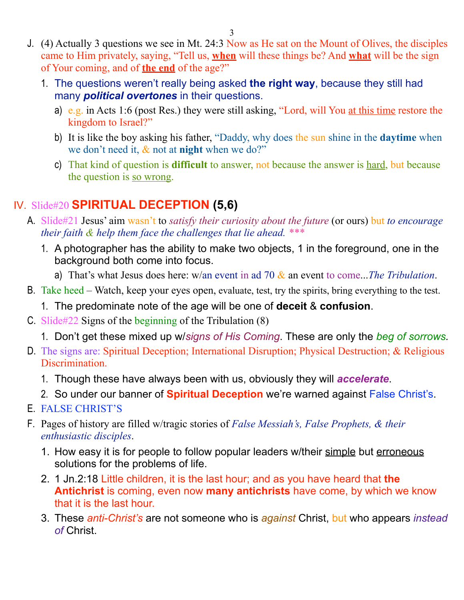- J. (4) Actually 3 questions we see in Mt. 24:3 Now as He sat on the Mount of Olives, the disciples came to Him privately, saying, "Tell us, **when** will these things be? And **what** will be the sign of Your coming, and of **the end** of the age?"
	- 1. The questions weren't really being asked **the right way**, because they still had many *political overtones* in their questions.
		- a) e.g. in Acts 1:6 (post Res.) they were still asking, "Lord, will You at this time restore the kingdom to Israel?"
		- b) It is like the boy asking his father, "Daddy, why does the sun shine in the **daytime** when we don't need it, & not at **night** when we do?"
		- c) That kind of question is **difficult** to answer, not because the answer is hard, but because the question is so wrong.

#### IV. Slide#20 **SPIRITUAL DECEPTION (5,6)**

- A. Slide#21 Jesus' aim wasn't to *satisfy their curiosity about the future* (or ours) but *to encourage their faith & help them face the challenges that lie ahead. \*\*\**
	- 1. A photographer has the ability to make two objects, 1 in the foreground, one in the background both come into focus.
		- a) That's what Jesus does here: w/an event in ad 70 & an event to come...*The Tribulation*.
- B. Take heed Watch, keep your eyes open, evaluate, test, try the spirits, bring everything to the test.
	- 1. The predominate note of the age will be one of **deceit** & **confusion**.
- C. Slide#22 Signs of the beginning of the Tribulation (8)
	- 1. Don't get these mixed up w/*signs of His Coming*. These are only the *beg of sorrows.*
- D. The signs are: Spiritual Deception; International Disruption; Physical Destruction; & Religious Discrimination.
	- 1. Though these have always been with us, obviously they will *accelerate*.
	- 2. So under our banner of **Spiritual Deception** we're warned against False Christ's.
- E. FALSE CHRIST'S
- F. Pages of history are filled w/tragic stories of *False Messiah's, False Prophets, & their enthusiastic disciples*.
	- 1. How easy it is for people to follow popular leaders w/their simple but erroneous solutions for the problems of life.
	- 2. 1 Jn.2:18 Little children, it is the last hour; and as you have heard that **the Antichrist** is coming, even now **many antichrists** have come, by which we know that it is the last hour.
	- 3. These *anti-Christ's* are not someone who is *against* Christ, but who appears *instead of* Christ.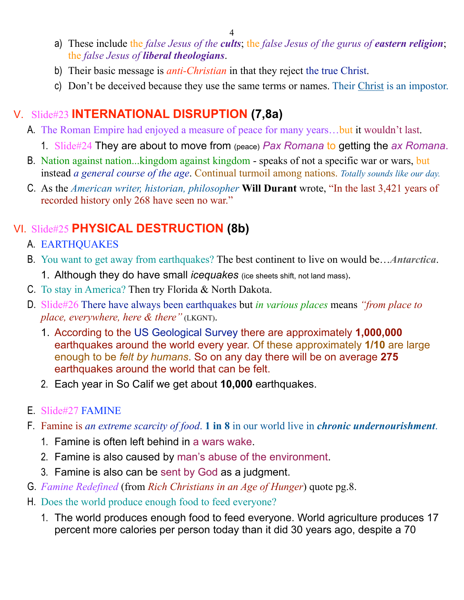- a) These include the *false Jesus of the cults*; the *false Jesus of the gurus of eastern religion*; the *false Jesus of liberal theologians*.
- b) Their basic message is *anti-Christian* in that they reject the true Christ.
- c) Don't be deceived because they use the same terms or names. Their Christ is an impostor.

#### V. Slide#23 **INTERNATIONAL DISRUPTION (7,8a)**

- A. The Roman Empire had enjoyed a measure of peace for many years…but it wouldn't last.
	- 1. Slide#24 They are about to move from (peace) *Pax Romana* to getting the *ax Romana*.
- B. Nation against nation...kingdom against kingdom speaks of not a specific war or wars, but instead *a general course of the age*. Continual turmoil among nations. *Totally sounds like our day.*
- C. As the *American writer, historian, philosopher* **Will Durant** wrote, "In the last 3,421 years of recorded history only 268 have seen no war."

# VI. Slide#25 **PHYSICAL DESTRUCTION (8b)**

- A. EARTHQUAKES
- B. You want to get away from earthquakes? The best continent to live on would be…*Antarctica*.
	- 1. Although they do have small *icequakes* (ice sheets shift, not land mass).
- C. To stay in America? Then try Florida & North Dakota.
- D. Slide#26 There have always been earthquakes but *in various places* means *"from place to place, everywhere, here & there"* (LKGNT).
	- 1. According to the US Geological Survey there are approximately **1,000,000** earthquakes around the world every year. Of these approximately **1/10** are large enough to be *felt by humans*. So on any day there will be on average **275** earthquakes around the world that can be felt.
	- 2. Each year in So Calif we get about **10,000** earthquakes.

#### E. Slide#27 FAMINE

- F. Famine is *an extreme scarcity of food*. **1 in 8** in our world live in *chronic undernourishment*.
	- 1. Famine is often left behind in a wars wake.
	- 2. Famine is also caused by man's abuse of the environment.
	- 3. Famine is also can be sent by God as a judgment.
- G. *Famine Redefined* (from *Rich Christians in an Age of Hunger*) quote pg.8.
- H. Does the world produce enough food to feed everyone?
	- 1. The world produces enough food to feed everyone. World agriculture produces 17 percent more calories per person today than it did 30 years ago, despite a 70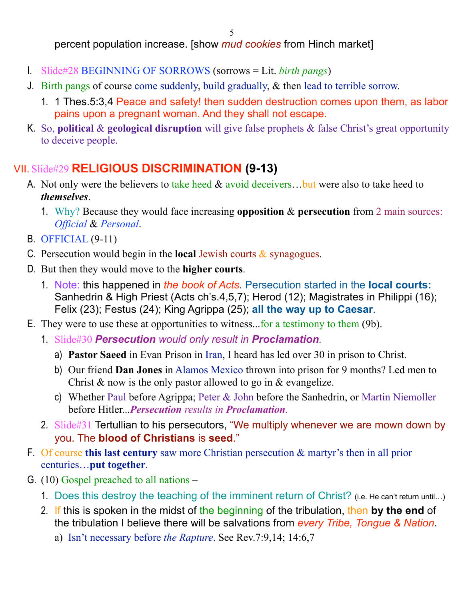percent population increase. [show *mud cookies* from Hinch market]

- I. Slide#28 BEGINNING OF SORROWS (sorrows = Lit. *birth pangs*)
- J. Birth pangs of course come suddenly, build gradually, & then lead to terrible sorrow.
	- 1. 1 Thes.5:3,4 Peace and safety! then sudden destruction comes upon them, as labor pains upon a pregnant woman. And they shall not escape.
- K. So, **political** & **geological disruption** will give false prophets & false Christ's great opportunity to deceive people.

#### VII. Slide#29 **RELIGIOUS DISCRIMINATION (9-13)**

- A. Not only were the believers to take heed  $&$  avoid deceivers... but were also to take heed to *themselves*.
	- 1. Why? Because they would face increasing **opposition** & **persecution** from 2 main sources: *Official* & *Personal*.
- B. OFFICIAL (9-11)
- C. Persecution would begin in the **local** Jewish courts & synagogues.
- D. But then they would move to the **higher courts**.
	- 1. Note: this happened in *the book of Acts*. Persecution started in the **local courts:** Sanhedrin & High Priest (Acts ch's.4,5,7); Herod (12); Magistrates in Philippi (16); Felix (23); Festus (24); King Agrippa (25); **all the way up to Caesar**.
- E. They were to use these at opportunities to witness...for a testimony to them (9b).
	- 1. Slide#30 *Persecution would only result in Proclamation.*
		- a) **Pastor Saeed** in Evan Prison in Iran, I heard has led over 30 in prison to Christ.
		- b) Our friend **Dan Jones** in Alamos Mexico thrown into prison for 9 months? Led men to Christ  $\&$  now is the only pastor allowed to go in  $\&$  evangelize.
		- c) Whether Paul before Agrippa; Peter & John before the Sanhedrin, or Martin Niemoller before Hitler...*Persecution results in Proclamation.*
	- 2. Slide#31 Tertullian to his persecutors, "We multiply whenever we are mown down by you. The **blood of Christians** is **seed**."
- F. Of course **this last century** saw more Christian persecution & martyr's then in all prior centuries…**put together**.
- G. (10) Gospel preached to all nations
	- 1. Does this destroy the teaching of the imminent return of Christ? (i.e. He can't return until…)
	- 2. If this is spoken in the midst of the beginning of the tribulation, then **by the end** of the tribulation I believe there will be salvations from *every Tribe, Tongue & Nation*.
		- a) Isn't necessary before *the Rapture*. See Rev.7:9,14; 14:6,7